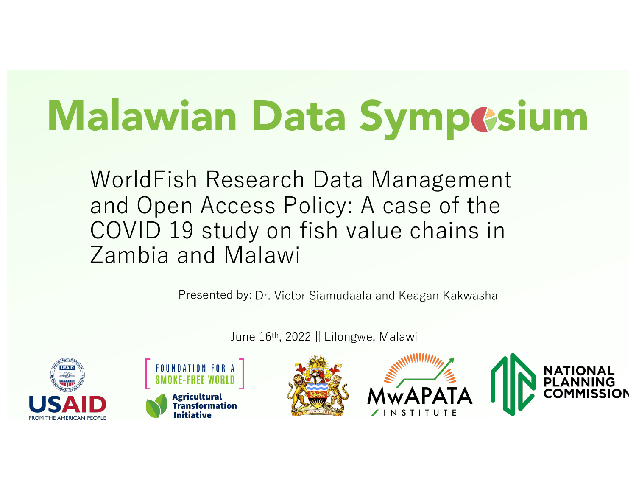# Malawian Data Sympesium

WorldFish Research Data Management and Open Access Policy: A case of the COVID 19 study on fish value chains in Zambia and Malawi

Presented by: Dr. Victor Siamudaala and Keagan Kakwasha

June 16th, 2022 || Lilongwe, Malawi







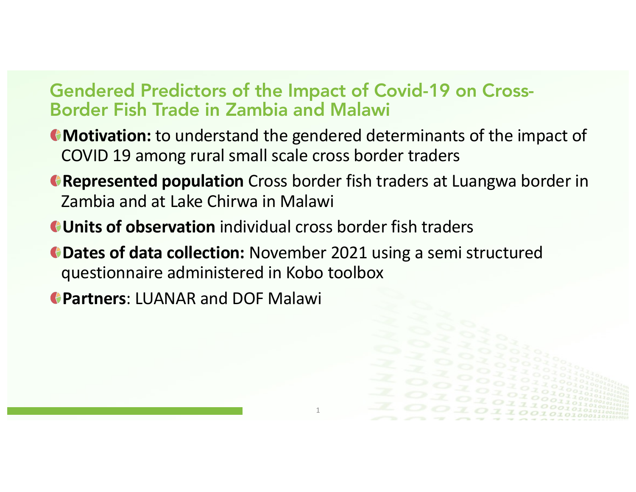#### Gendered Predictors of the Impact of Covid-19 on Cross-Border Fish Trade in Zambia and Malawi

- **Motivation:** to understand the gendered determinants of the impact of COVID 19 among rural small scale cross border traders
- **Represented population** Cross border fish traders at Luangwa border in Zambia and at Lake Chirwa in Malawi

1

- **Units of observation** individual cross border fish traders
- **Dates of data collection:** November 2021 using a semi structured questionnaire administered in Kobo toolbox

**Partners**: LUANAR and DOF Malawi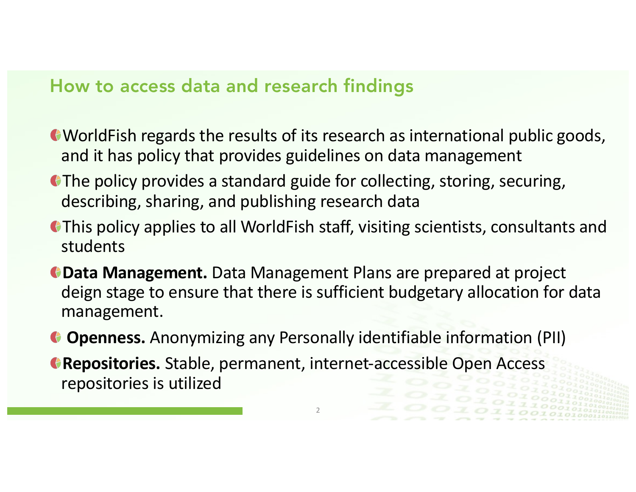#### How to access data and research findings

- WorldFish regards the results of its research as international public goods, and it has policy that provides guidelines on data management
- The policy provides a standard guide for collecting, storing, securing, describing, sharing, and publishing research data
- This policy applies to all WorldFish staff, visiting scientists, consultants and students
- **Data Management.** Data Management Plans are prepared at project deign stage to ensure that there is sufficient budgetary allocation for data management.
- **Openness.** Anonymizing any Personally identifiable information (PII)

2

**Repositories.** Stable, permanent, internet-accessible Open Access repositories is utilized